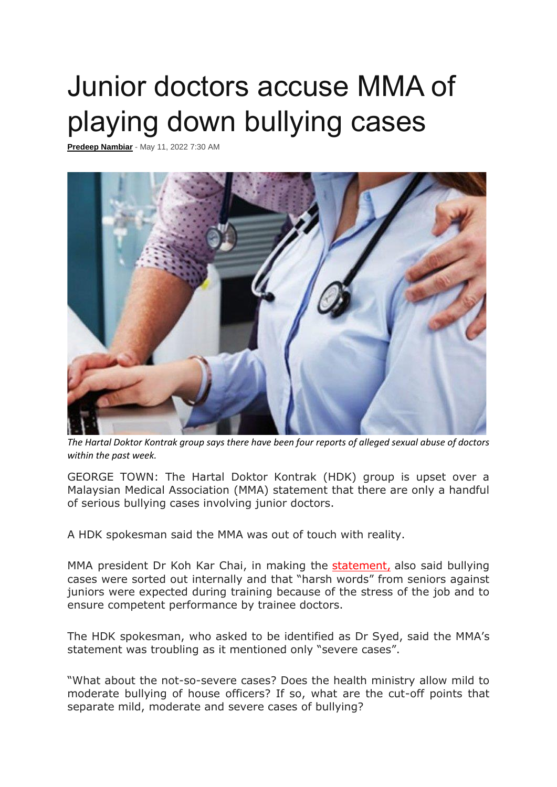## Junior doctors accuse MMA of playing down bullying cases

**[Predeep Nambiar](https://www.freemalaysiatoday.com/category/author/predeep/)** - May 11, 2022 7:30 AM



*The Hartal Doktor Kontrak group says there have been four reports of alleged sexual abuse of doctors within the past week.*

GEORGE TOWN: The Hartal Doktor Kontrak (HDK) group is upset over a Malaysian Medical Association (MMA) statement that there are only a handful of serious bullying cases involving junior doctors.

A HDK spokesman said the MMA was out of touch with reality.

MMA president Dr Koh Kar Chai, in making the [statement,](https://www.freemalaysiatoday.com/category/nation/2022/05/10/only-handful-of-serious-bullying-cases-involving-housemen-says-mma/) also said bullying cases were sorted out internally and that "harsh words" from seniors against juniors were expected during training because of the stress of the job and to ensure competent performance by trainee doctors.

The HDK spokesman, who asked to be identified as Dr Syed, said the MMA's statement was troubling as it mentioned only "severe cases".

"What about the not-so-severe cases? Does the health ministry allow mild to moderate bullying of house officers? If so, what are the cut-off points that separate mild, moderate and severe cases of bullying?